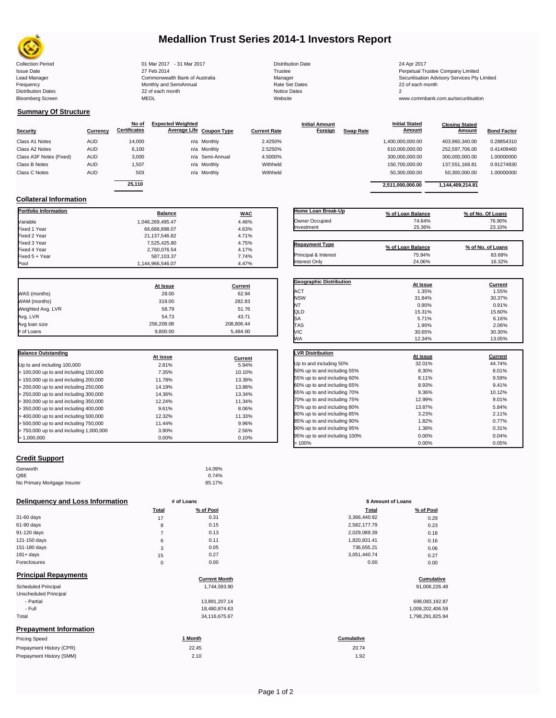

# **Medallion Trust Series 2014-1 Investors Report**

| <b>Collection Period</b>  | 01 Mar 2017 - 31 Mar 2017      | <b>Distribution Date</b> | 24 Apr 2017       |
|---------------------------|--------------------------------|--------------------------|-------------------|
| <b>Issue Date</b>         | 27 Feb 2014                    | Trustee                  | Perpetual Trustee |
| Lead Manager              | Commonwealth Bank of Australia | Manager                  | Securitisation Ad |
| Frequency                 | Monthly and SemiAnnual         | Rate Set Dates           | 22 of each month  |
| <b>Distribution Dates</b> | 22 of each month               | <b>Notice Dates</b>      |                   |
| <b>Bloomberg Screen</b>   | MEDL                           | Website                  | www.commbank.     |

2,760,076.54 4.17%<br>587,103.37 7.74%

Issue Date 27 Feb 2014 Trustee Perpetual Trustee Company Limited Lead Manager **Commonwealth Bank of Australia** Manager Manager Manager Securitisation Advisory Services Pty Limited<br>Trequency **Securitisation Commonwealth SemiAnnual** SemiAnnual Rate Set Dates **Common Securitisation Advisor** 

> **Closing Stated Amount**

www.commbank.com.au/securitisation

## **Summary Of Structure**

**Collateral Information**

|                         |            | No of               | <b>Expected Weighted</b> |                 |                     | <b>Initial Amount</b> |                  | <b>Initial Stated</b> | <b>Closing Stated</b> |                    |
|-------------------------|------------|---------------------|--------------------------|-----------------|---------------------|-----------------------|------------------|-----------------------|-----------------------|--------------------|
| <b>Security</b>         | Currency   | <b>Certificates</b> | Average Life Coupon Type |                 | <b>Current Rate</b> | Foreign               | <b>Swap Rate</b> | <b>Amount</b>         | Amount                | <b>Bond Factor</b> |
| Class A1 Notes          | <b>AUD</b> | 14,000              |                          | n/a Monthly     | 2.4250%             |                       |                  | 1,400,000,000.00      | 403.960.340.00        | 0.28854310         |
| Class A2 Notes          | <b>AUD</b> | 6,100               |                          | n/a Monthly     | 2.5250%             |                       |                  | 610,000,000.00        | 252,597,706.00        | 0.41409460         |
| Class A3F Notes (Fixed) | <b>AUD</b> | 3,000               |                          | n/a Semi-Annual | 4.5000%             |                       |                  | 300,000,000.00        | 300.000.000.00        | 1.00000000         |
| Class B Notes           | <b>AUD</b> | 1.507               |                          | n/a Monthly     | Withheld            |                       |                  | 150.700.000.00        | 137.551.168.81        | 0.91274830         |
| Class C Notes           | <b>AUD</b> | 503                 |                          | n/a Monthly     | Withheld            |                       |                  | 50,300,000.00         | 50,300,000.00         | 1.00000000         |
|                         |            | 25.110              |                          |                 |                     |                       |                  | 2.511.000.000.00      | 1,144,409,214.81      |                    |

**Portfolio Information Balance WAC** Variable 1,046,269,495.47 4.46% Fixed 1 Year 66,686,898.07 4.63% Fixed 2 Year 2011 2011 21,137,546.82 4.71% 2011 21,137,546.82 4.71%<br>21,137,546.82 5.25.80 5.25.80 5.25.80 5.25% 4.75% 2.55% 2.55% 2.55% 2.55% 2.55% 2.55% 2.55% 2.55% 2.55% 2.55% Fixed 3 Year 7,525,425.80 4.75%

Fixed 5 + Year 7.74% 7.74% 587,103.37 587,103.37 587,103.37 7.74%

1,144,966,546.07

| Home Loan Break-Up    | % of Loan Balance | % of No. Of Loans |
|-----------------------|-------------------|-------------------|
| Owner Occupied        | 74.64%            | 76.90%            |
| Investment            | 25.36%            | 23.10%            |
|                       |                   |                   |
| <b>Repayment Type</b> | % of Loan Balance | % of No. of Loans |
| Principal & Interest  | 75.94%            | 83.68%            |

Interest Only 24.06% 16.32%

**Initial Stated** 

|                   | At Issue   | Current    |
|-------------------|------------|------------|
| WAS (months)      | 28.00      | 62.94      |
| WAM (months)      | 319.00     | 282.83     |
| Weighted Avg. LVR | 58.79      | 51.76      |
| Avg. LVR          | 54.73      | 43.71      |
| Avg loan size     | 256.209.08 | 208,806.44 |
| # of Loans        | 9,800.00   | 5,484.00   |

| <b>Balance Outstanding</b>              |          |         |
|-----------------------------------------|----------|---------|
|                                         | At issue | Current |
| Up to and including 100,000             | 2.81%    | 5.94%   |
| $>$ 100,000 up to and including 150,000 | 7.35%    | 10.10%  |
| $> 150,000$ up to and including 200,000 | 11.78%   | 13.39%  |
| $>$ 200,000 up to and including 250,000 | 14.19%   | 13.88%  |
| $> 250,000$ up to and including 300,000 | 14.36%   | 13.34%  |
| $>$ 300,000 up to and including 350,000 | 12.24%   | 11.34%  |
| $>$ 350,000 up to and including 400,000 | 9.61%    | 8.06%   |
| $>$ 400,000 up to and including 500,000 | 12.32%   | 11.33%  |
| $>$ 500,000 up to and including 750,000 | 11.44%   | 9.96%   |
| > 750,000 up to and including 1,000,000 | 3.90%    | 2.56%   |
| > 1.000.000                             | 0.00%    | 0.10%   |

## **Credit Support**

| Genworth                    | 14.09% |
|-----------------------------|--------|
| QBE                         | 0.74%  |
| No Primary Mortgage Insurer | 85.17% |

### **Delinquency and Loss Information** # of Loans

|              | Total | % of Pool | Total        | % of Pool |
|--------------|-------|-----------|--------------|-----------|
| 31-60 days   | 17    | 0.31      | 3,366,440.92 | 0.29      |
| 61-90 days   | 8     | 0.15      | 2,582,177.79 | 0.23      |
| 91-120 days  |       | 0.13      | 2,029,089.39 | 0.18      |
| 121-150 days | 6     | 0.11      | 1,820,831.41 | 0.16      |
| 151-180 days | 3     | 0.05      | 736,655.21   | 0.06      |
| $181 + days$ | 15    | 0.27      | 3,051,440.74 | 0.27      |
| Foreclosures | 0     | 0.00      | 0.00         | 0.00      |

Prepayment History (SMM)

| <b>Principal Repayments</b>   | <b>Current Month</b> | Cumulative        |
|-------------------------------|----------------------|-------------------|
|                               |                      |                   |
| <b>Scheduled Principal</b>    | 1.744.593.90         | 91,006,226.48     |
| Unscheduled Principal         |                      |                   |
| - Partial                     | 13,891,207.14        | 698,083,192.87    |
| - Full                        | 18,480,874.63        | 1,009,202,406.59  |
| Total                         | 34,116,675.67        | 1,798,291,825.94  |
| <b>Prepayment Information</b> |                      |                   |
| <b>Pricing Speed</b>          | 1 Month              | <b>Cumulative</b> |
| Prepayment History (CPR)      | 22.45                | 20.74             |

| <b>Geographic Distribution</b> |          |                |
|--------------------------------|----------|----------------|
|                                | At Issue | <b>Current</b> |
| <b>ACT</b>                     | 1.35%    | 1.55%          |
| <b>NSW</b>                     | 31.84%   | 30.37%         |
| NT                             | 0.90%    | 0.91%          |
| QLD                            | 15.31%   | 15.60%         |
| SA                             | 5.71%    | 6.16%          |
| <b>TAS</b>                     | 1.90%    | 2.06%          |
| VIC                            | 30.65%   | 30.30%         |
| WA                             | 12.34%   | 13.05%         |
|                                |          |                |
| <b>LVR Distribution</b>        | At issue | <b>Current</b> |
| Up to and including 50%        | 32.01%   | 44.74%         |
| 50% up to and including 55%    | 8.30%    | 8.01%          |
| 55% up to and including 60%    | 8.11%    | 9.59%          |
| 60% up to and including 65%    | 8.93%    | 9.41%          |
| 65% up to and including 70%    | 9.36%    | 10.12%         |
| 70% up to and including 75%    | 12.99%   | 9.01%          |
| 75% up to and including 80%    | 13.87%   | 5.84%          |
| 80% up to and including 85%    | 3.23%    | 2.11%          |
| 85% up to and including 90%    | 1.82%    | 0.77%          |
| 90% up to and including 95%    | 1.38%    | 0.31%          |
| 95% up to and including 100%   | 0.00%    | 0.04%          |
| >100%                          | 0.00%    | 0.05%          |

| # of Loans     |           | \$ Amount of Loans |           |  |
|----------------|-----------|--------------------|-----------|--|
| Total          | % of Pool | Total              | % of Pool |  |
| 17             | 0.31      | 3,366,440.92       | 0.29      |  |
| 8              | 0.15      | 2,582,177.79       | 0.23      |  |
| $\overline{7}$ | 0.13      | 2,029,089.39       | 0.18      |  |
| 6              | 0.11      | 1,820,831.41       | 0.16      |  |
| 3              | 0.05      | 736,655.21         | 0.06      |  |
| 15             | 0.27      | 3,051,440.74       | 0.27      |  |
| $\mathbf 0$    | 0.00      | 0.00               | 0.00      |  |
|                |           |                    |           |  |

| 698.083.192.87   |
|------------------|
| 1,009,202,406.59 |
| 1,798,291,825.94 |

# 20.74

 $2.10$  and  $1.92$